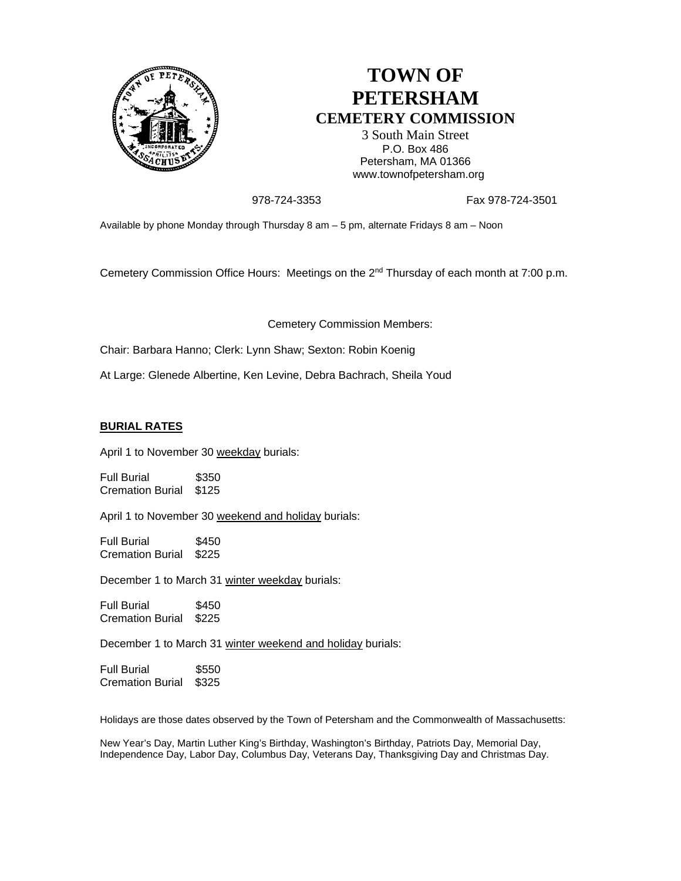

## **TOWN OF PETERSHAM CEMETERY COMMISSION**

3 South Main Street P.O. Box 486 Petersham, MA 01366 www.townofpetersham.org

978-724-3353 Fax 978-724-3501

Available by phone Monday through Thursday 8 am – 5 pm, alternate Fridays 8 am – Noon

Cemetery Commission Office Hours: Meetings on the 2<sup>nd</sup> Thursday of each month at 7:00 p.m.

Cemetery Commission Members:

Chair: Barbara Hanno; Clerk: Lynn Shaw; Sexton: Robin Koenig

At Large: Glenede Albertine, Ken Levine, Debra Bachrach, Sheila Youd

## **BURIAL RATES**

April 1 to November 30 weekday burials:

Full Burial \$350 Cremation Burial \$125

April 1 to November 30 weekend and holiday burials:

Full Burial \$450 Cremation Burial \$225

December 1 to March 31 winter weekday burials:

Full Burial \$450 Cremation Burial \$225

December 1 to March 31 winter weekend and holiday burials:

Full Burial \$550 Cremation Burial \$325

Holidays are those dates observed by the Town of Petersham and the Commonwealth of Massachusetts:

New Year's Day, Martin Luther King's Birthday, Washington's Birthday, Patriots Day, Memorial Day, Independence Day, Labor Day, Columbus Day, Veterans Day, Thanksgiving Day and Christmas Day.